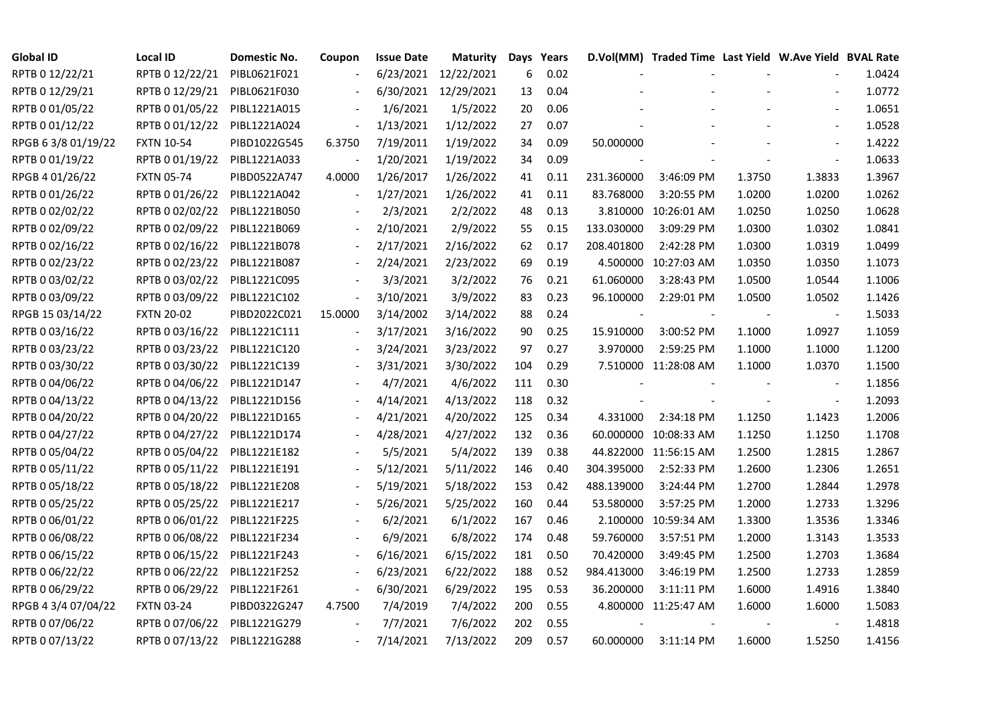| <b>Global ID</b>    | <b>Local ID</b>   | Domestic No. | Coupon                   | <b>Issue Date</b> | <b>Maturity</b>      | Days Years |      |                          | D.Vol(MM) Traded Time Last Yield W.Ave Yield BVAL Rate |        |                          |        |
|---------------------|-------------------|--------------|--------------------------|-------------------|----------------------|------------|------|--------------------------|--------------------------------------------------------|--------|--------------------------|--------|
| RPTB 0 12/22/21     | RPTB 0 12/22/21   | PIBL0621F021 |                          |                   | 6/23/2021 12/22/2021 | 6          | 0.02 |                          |                                                        |        |                          | 1.0424 |
| RPTB 0 12/29/21     | RPTB 0 12/29/21   | PIBL0621F030 |                          |                   | 6/30/2021 12/29/2021 | 13         | 0.04 |                          |                                                        |        |                          | 1.0772 |
| RPTB 0 01/05/22     | RPTB 0 01/05/22   | PIBL1221A015 |                          | 1/6/2021          | 1/5/2022             | 20         | 0.06 |                          |                                                        |        | $\overline{\phantom{a}}$ | 1.0651 |
| RPTB 0 01/12/22     | RPTB 0 01/12/22   | PIBL1221A024 | $\overline{\phantom{a}}$ | 1/13/2021         | 1/12/2022            | 27         | 0.07 |                          |                                                        |        | $\overline{\phantom{a}}$ | 1.0528 |
| RPGB 63/8 01/19/22  | <b>FXTN 10-54</b> | PIBD1022G545 | 6.3750                   | 7/19/2011         | 1/19/2022            | 34         | 0.09 | 50.000000                |                                                        |        | $\blacksquare$           | 1.4222 |
| RPTB 0 01/19/22     | RPTB 0 01/19/22   | PIBL1221A033 |                          | 1/20/2021         | 1/19/2022            | 34         | 0.09 |                          |                                                        |        |                          | 1.0633 |
| RPGB 4 01/26/22     | <b>FXTN 05-74</b> | PIBD0522A747 | 4.0000                   | 1/26/2017         | 1/26/2022            | 41         | 0.11 | 231.360000               | 3:46:09 PM                                             | 1.3750 | 1.3833                   | 1.3967 |
| RPTB 0 01/26/22     | RPTB 0 01/26/22   | PIBL1221A042 | $\overline{\phantom{a}}$ | 1/27/2021         | 1/26/2022            | 41         | 0.11 | 83.768000                | 3:20:55 PM                                             | 1.0200 | 1.0200                   | 1.0262 |
| RPTB 0 02/02/22     | RPTB 0 02/02/22   | PIBL1221B050 |                          | 2/3/2021          | 2/2/2022             | 48         | 0.13 |                          | 3.810000 10:26:01 AM                                   | 1.0250 | 1.0250                   | 1.0628 |
| RPTB 0 02/09/22     | RPTB 0 02/09/22   | PIBL1221B069 |                          | 2/10/2021         | 2/9/2022             | 55         | 0.15 | 133.030000               | 3:09:29 PM                                             | 1.0300 | 1.0302                   | 1.0841 |
| RPTB 0 02/16/22     | RPTB 0 02/16/22   | PIBL1221B078 | $\overline{\phantom{a}}$ | 2/17/2021         | 2/16/2022            | 62         | 0.17 | 208.401800               | 2:42:28 PM                                             | 1.0300 | 1.0319                   | 1.0499 |
| RPTB 0 02/23/22     | RPTB 0 02/23/22   | PIBL1221B087 | $\overline{\phantom{a}}$ | 2/24/2021         | 2/23/2022            | 69         | 0.19 |                          | 4.500000 10:27:03 AM                                   | 1.0350 | 1.0350                   | 1.1073 |
| RPTB 0 03/02/22     | RPTB 0 03/02/22   | PIBL1221C095 |                          | 3/3/2021          | 3/2/2022             | 76         | 0.21 | 61.060000                | 3:28:43 PM                                             | 1.0500 | 1.0544                   | 1.1006 |
| RPTB 0 03/09/22     | RPTB 0 03/09/22   | PIBL1221C102 | $\overline{\phantom{a}}$ | 3/10/2021         | 3/9/2022             | 83         | 0.23 | 96.100000                | 2:29:01 PM                                             | 1.0500 | 1.0502                   | 1.1426 |
| RPGB 15 03/14/22    | <b>FXTN 20-02</b> | PIBD2022C021 | 15.0000                  | 3/14/2002         | 3/14/2022            | 88         | 0.24 | $\overline{\phantom{a}}$ |                                                        |        | $\blacksquare$           | 1.5033 |
| RPTB 0 03/16/22     | RPTB 0 03/16/22   | PIBL1221C111 |                          | 3/17/2021         | 3/16/2022            | 90         | 0.25 | 15.910000                | 3:00:52 PM                                             | 1.1000 | 1.0927                   | 1.1059 |
| RPTB 0 03/23/22     | RPTB 0 03/23/22   | PIBL1221C120 |                          | 3/24/2021         | 3/23/2022            | 97         | 0.27 | 3.970000                 | 2:59:25 PM                                             | 1.1000 | 1.1000                   | 1.1200 |
| RPTB 0 03/30/22     | RPTB 0 03/30/22   | PIBL1221C139 | $\overline{\phantom{a}}$ | 3/31/2021         | 3/30/2022            | 104        | 0.29 |                          | 7.510000 11:28:08 AM                                   | 1.1000 | 1.0370                   | 1.1500 |
| RPTB 0 04/06/22     | RPTB 0 04/06/22   | PIBL1221D147 |                          | 4/7/2021          | 4/6/2022             | 111        | 0.30 |                          |                                                        |        |                          | 1.1856 |
| RPTB 0 04/13/22     | RPTB 0 04/13/22   | PIBL1221D156 |                          | 4/14/2021         | 4/13/2022            | 118        | 0.32 |                          |                                                        |        | $\blacksquare$           | 1.2093 |
| RPTB 0 04/20/22     | RPTB 0 04/20/22   | PIBL1221D165 |                          | 4/21/2021         | 4/20/2022            | 125        | 0.34 | 4.331000                 | 2:34:18 PM                                             | 1.1250 | 1.1423                   | 1.2006 |
| RPTB 0 04/27/22     | RPTB 0 04/27/22   | PIBL1221D174 |                          | 4/28/2021         | 4/27/2022            | 132        | 0.36 |                          | 60.000000 10:08:33 AM                                  | 1.1250 | 1.1250                   | 1.1708 |
| RPTB 0 05/04/22     | RPTB 0 05/04/22   | PIBL1221E182 |                          | 5/5/2021          | 5/4/2022             | 139        | 0.38 |                          | 44.822000 11:56:15 AM                                  | 1.2500 | 1.2815                   | 1.2867 |
| RPTB 0 05/11/22     | RPTB 0 05/11/22   | PIBL1221E191 |                          | 5/12/2021         | 5/11/2022            | 146        | 0.40 | 304.395000               | 2:52:33 PM                                             | 1.2600 | 1.2306                   | 1.2651 |
| RPTB 0 05/18/22     | RPTB 0 05/18/22   | PIBL1221E208 |                          | 5/19/2021         | 5/18/2022            | 153        | 0.42 | 488.139000               | 3:24:44 PM                                             | 1.2700 | 1.2844                   | 1.2978 |
| RPTB 0 05/25/22     | RPTB 0 05/25/22   | PIBL1221E217 |                          | 5/26/2021         | 5/25/2022            | 160        | 0.44 | 53.580000                | 3:57:25 PM                                             | 1.2000 | 1.2733                   | 1.3296 |
| RPTB 0 06/01/22     | RPTB 0 06/01/22   | PIBL1221F225 |                          | 6/2/2021          | 6/1/2022             | 167        | 0.46 |                          | 2.100000 10:59:34 AM                                   | 1.3300 | 1.3536                   | 1.3346 |
| RPTB 0 06/08/22     | RPTB 0 06/08/22   | PIBL1221F234 |                          | 6/9/2021          | 6/8/2022             | 174        | 0.48 | 59.760000                | 3:57:51 PM                                             | 1.2000 | 1.3143                   | 1.3533 |
| RPTB 0 06/15/22     | RPTB 0 06/15/22   | PIBL1221F243 |                          | 6/16/2021         | 6/15/2022            | 181        | 0.50 | 70.420000                | 3:49:45 PM                                             | 1.2500 | 1.2703                   | 1.3684 |
| RPTB 0 06/22/22     | RPTB 0 06/22/22   | PIBL1221F252 |                          | 6/23/2021         | 6/22/2022            | 188        | 0.52 | 984.413000               | 3:46:19 PM                                             | 1.2500 | 1.2733                   | 1.2859 |
| RPTB 0 06/29/22     | RPTB 0 06/29/22   | PIBL1221F261 | $\overline{\phantom{a}}$ | 6/30/2021         | 6/29/2022            | 195        | 0.53 | 36.200000                | 3:11:11 PM                                             | 1.6000 | 1.4916                   | 1.3840 |
| RPGB 4 3/4 07/04/22 | <b>FXTN 03-24</b> | PIBD0322G247 | 4.7500                   | 7/4/2019          | 7/4/2022             | 200        | 0.55 |                          | 4.800000 11:25:47 AM                                   | 1.6000 | 1.6000                   | 1.5083 |
| RPTB 0 07/06/22     | RPTB 0 07/06/22   | PIBL1221G279 |                          | 7/7/2021          | 7/6/2022             | 202        | 0.55 |                          |                                                        |        |                          | 1.4818 |
| RPTB 0 07/13/22     | RPTB 0 07/13/22   | PIBL1221G288 |                          | 7/14/2021         | 7/13/2022            | 209        | 0.57 | 60.000000                | $3:11:14$ PM                                           | 1.6000 | 1.5250                   | 1.4156 |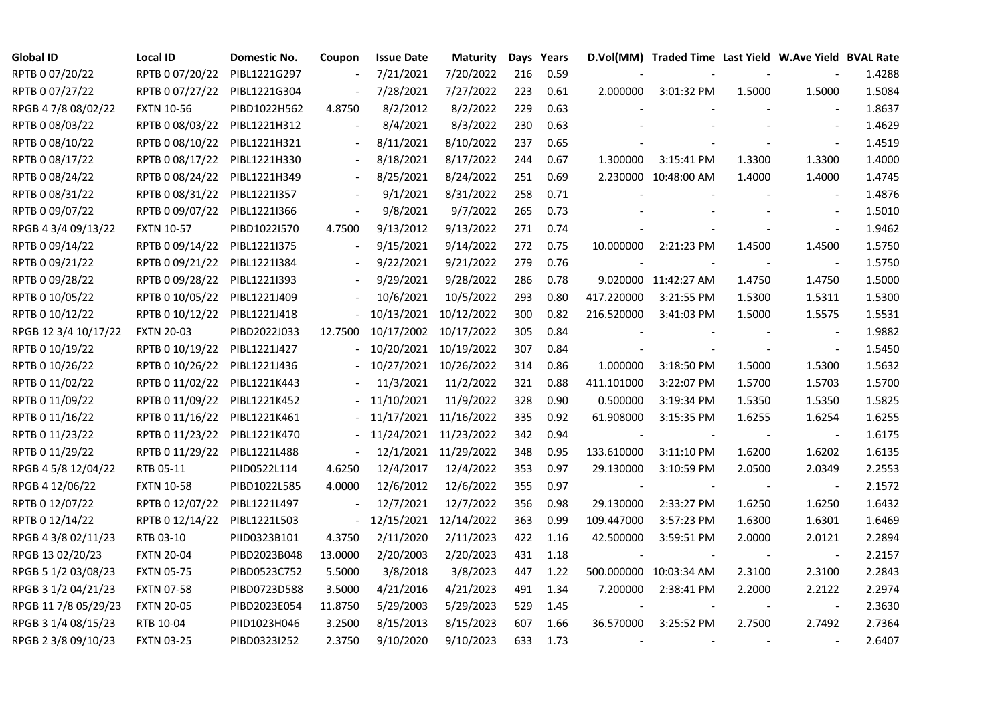| <b>Global ID</b>     | Local ID          | Domestic No. | Coupon                    | <b>Issue Date</b> | Maturity              |     | Days Years |            | D.Vol(MM) Traded Time Last Yield W.Ave Yield BVAL Rate |        |                          |        |
|----------------------|-------------------|--------------|---------------------------|-------------------|-----------------------|-----|------------|------------|--------------------------------------------------------|--------|--------------------------|--------|
| RPTB 0 07/20/22      | RPTB 0 07/20/22   | PIBL1221G297 |                           | 7/21/2021         | 7/20/2022             | 216 | 0.59       |            |                                                        |        |                          | 1.4288 |
| RPTB 0 07/27/22      | RPTB 0 07/27/22   | PIBL1221G304 |                           | 7/28/2021         | 7/27/2022             | 223 | 0.61       | 2.000000   | 3:01:32 PM                                             | 1.5000 | 1.5000                   | 1.5084 |
| RPGB 4 7/8 08/02/22  | <b>FXTN 10-56</b> | PIBD1022H562 | 4.8750                    | 8/2/2012          | 8/2/2022              | 229 | 0.63       |            |                                                        |        |                          | 1.8637 |
| RPTB 0 08/03/22      | RPTB 0 08/03/22   | PIBL1221H312 | $\blacksquare$            | 8/4/2021          | 8/3/2022              | 230 | 0.63       |            |                                                        |        | $\overline{a}$           | 1.4629 |
| RPTB 0 08/10/22      | RPTB 0 08/10/22   | PIBL1221H321 | $\blacksquare$            | 8/11/2021         | 8/10/2022             | 237 | 0.65       |            |                                                        |        |                          | 1.4519 |
| RPTB 0 08/17/22      | RPTB 0 08/17/22   | PIBL1221H330 | $\blacksquare$            | 8/18/2021         | 8/17/2022             | 244 | 0.67       | 1.300000   | 3:15:41 PM                                             | 1.3300 | 1.3300                   | 1.4000 |
| RPTB 0 08/24/22      | RPTB 0 08/24/22   | PIBL1221H349 | $\blacksquare$            | 8/25/2021         | 8/24/2022             | 251 | 0.69       |            | 2.230000 10:48:00 AM                                   | 1.4000 | 1.4000                   | 1.4745 |
| RPTB 0 08/31/22      | RPTB 0 08/31/22   | PIBL1221I357 |                           | 9/1/2021          | 8/31/2022             | 258 | 0.71       |            |                                                        |        |                          | 1.4876 |
| RPTB 0 09/07/22      | RPTB 0 09/07/22   | PIBL1221I366 |                           | 9/8/2021          | 9/7/2022              | 265 | 0.73       |            |                                                        |        |                          | 1.5010 |
| RPGB 4 3/4 09/13/22  | <b>FXTN 10-57</b> | PIBD1022I570 | 4.7500                    | 9/13/2012         | 9/13/2022             | 271 | 0.74       |            |                                                        |        | $\overline{\phantom{a}}$ | 1.9462 |
| RPTB 0 09/14/22      | RPTB 0 09/14/22   | PIBL1221I375 | $\overline{\phantom{a}}$  | 9/15/2021         | 9/14/2022             | 272 | 0.75       | 10.000000  | 2:21:23 PM                                             | 1.4500 | 1.4500                   | 1.5750 |
| RPTB 0 09/21/22      | RPTB 0 09/21/22   | PIBL1221I384 |                           | 9/22/2021         | 9/21/2022             | 279 | 0.76       |            |                                                        |        | $\overline{\phantom{a}}$ | 1.5750 |
| RPTB 0 09/28/22      | RPTB 0 09/28/22   | PIBL1221I393 |                           | 9/29/2021         | 9/28/2022             | 286 | 0.78       |            | 9.020000 11:42:27 AM                                   | 1.4750 | 1.4750                   | 1.5000 |
| RPTB 0 10/05/22      | RPTB 0 10/05/22   | PIBL1221J409 |                           | 10/6/2021         | 10/5/2022             | 293 | 0.80       | 417.220000 | 3:21:55 PM                                             | 1.5300 | 1.5311                   | 1.5300 |
| RPTB 0 10/12/22      | RPTB 0 10/12/22   | PIBL1221J418 |                           | 10/13/2021        | 10/12/2022            | 300 | 0.82       | 216.520000 | 3:41:03 PM                                             | 1.5000 | 1.5575                   | 1.5531 |
| RPGB 12 3/4 10/17/22 | <b>FXTN 20-03</b> | PIBD2022J033 | 12.7500                   | 10/17/2002        | 10/17/2022            | 305 | 0.84       |            |                                                        |        |                          | 1.9882 |
| RPTB 0 10/19/22      | RPTB 0 10/19/22   | PIBL1221J427 |                           |                   | 10/20/2021 10/19/2022 | 307 | 0.84       |            |                                                        |        | $\blacksquare$           | 1.5450 |
| RPTB 0 10/26/22      | RPTB 0 10/26/22   | PIBL1221J436 |                           |                   | 10/27/2021 10/26/2022 | 314 | 0.86       | 1.000000   | 3:18:50 PM                                             | 1.5000 | 1.5300                   | 1.5632 |
| RPTB 0 11/02/22      | RPTB 0 11/02/22   | PIBL1221K443 |                           | 11/3/2021         | 11/2/2022             | 321 | 0.88       | 411.101000 | 3:22:07 PM                                             | 1.5700 | 1.5703                   | 1.5700 |
| RPTB 0 11/09/22      | RPTB 0 11/09/22   | PIBL1221K452 |                           | 11/10/2021        | 11/9/2022             | 328 | 0.90       | 0.500000   | 3:19:34 PM                                             | 1.5350 | 1.5350                   | 1.5825 |
| RPTB 0 11/16/22      | RPTB 0 11/16/22   | PIBL1221K461 |                           | 11/17/2021        | 11/16/2022            | 335 | 0.92       | 61.908000  | 3:15:35 PM                                             | 1.6255 | 1.6254                   | 1.6255 |
| RPTB 0 11/23/22      | RPTB 0 11/23/22   | PIBL1221K470 |                           | 11/24/2021        | 11/23/2022            | 342 | 0.94       |            |                                                        |        | $\overline{\phantom{a}}$ | 1.6175 |
| RPTB 0 11/29/22      | RPTB 0 11/29/22   | PIBL1221L488 |                           | 12/1/2021         | 11/29/2022            | 348 | 0.95       | 133.610000 | 3:11:10 PM                                             | 1.6200 | 1.6202                   | 1.6135 |
| RPGB 4 5/8 12/04/22  | RTB 05-11         | PIID0522L114 | 4.6250                    | 12/4/2017         | 12/4/2022             | 353 | 0.97       | 29.130000  | 3:10:59 PM                                             | 2.0500 | 2.0349                   | 2.2553 |
| RPGB 4 12/06/22      | <b>FXTN 10-58</b> | PIBD1022L585 | 4.0000                    | 12/6/2012         | 12/6/2022             | 355 | 0.97       |            |                                                        |        | $\blacksquare$           | 2.1572 |
| RPTB 0 12/07/22      | RPTB 0 12/07/22   | PIBL1221L497 | $\Box$                    | 12/7/2021         | 12/7/2022             | 356 | 0.98       | 29.130000  | 2:33:27 PM                                             | 1.6250 | 1.6250                   | 1.6432 |
| RPTB 0 12/14/22      | RPTB 0 12/14/22   | PIBL1221L503 | $\mathbb{Z}^{\mathbb{Z}}$ |                   | 12/15/2021 12/14/2022 | 363 | 0.99       | 109.447000 | 3:57:23 PM                                             | 1.6300 | 1.6301                   | 1.6469 |
| RPGB 4 3/8 02/11/23  | RTB 03-10         | PIID0323B101 | 4.3750                    | 2/11/2020         | 2/11/2023             | 422 | 1.16       | 42.500000  | 3:59:51 PM                                             | 2.0000 | 2.0121                   | 2.2894 |
| RPGB 13 02/20/23     | <b>FXTN 20-04</b> | PIBD2023B048 | 13.0000                   | 2/20/2003         | 2/20/2023             | 431 | 1.18       |            |                                                        |        | $\overline{\phantom{a}}$ | 2.2157 |
| RPGB 5 1/2 03/08/23  | <b>FXTN 05-75</b> | PIBD0523C752 | 5.5000                    | 3/8/2018          | 3/8/2023              | 447 | 1.22       |            | 500.000000 10:03:34 AM                                 | 2.3100 | 2.3100                   | 2.2843 |
| RPGB 3 1/2 04/21/23  | <b>FXTN 07-58</b> | PIBD0723D588 | 3.5000                    | 4/21/2016         | 4/21/2023             | 491 | 1.34       | 7.200000   | 2:38:41 PM                                             | 2.2000 | 2.2122                   | 2.2974 |
| RPGB 11 7/8 05/29/23 | <b>FXTN 20-05</b> | PIBD2023E054 | 11.8750                   | 5/29/2003         | 5/29/2023             | 529 | 1.45       |            |                                                        |        | $\overline{\phantom{a}}$ | 2.3630 |
| RPGB 3 1/4 08/15/23  | RTB 10-04         | PIID1023H046 | 3.2500                    | 8/15/2013         | 8/15/2023             | 607 | 1.66       | 36.570000  | 3:25:52 PM                                             | 2.7500 | 2.7492                   | 2.7364 |
| RPGB 2 3/8 09/10/23  | <b>FXTN 03-25</b> | PIBD0323I252 | 2.3750                    | 9/10/2020         | 9/10/2023             | 633 | 1.73       |            |                                                        |        |                          | 2.6407 |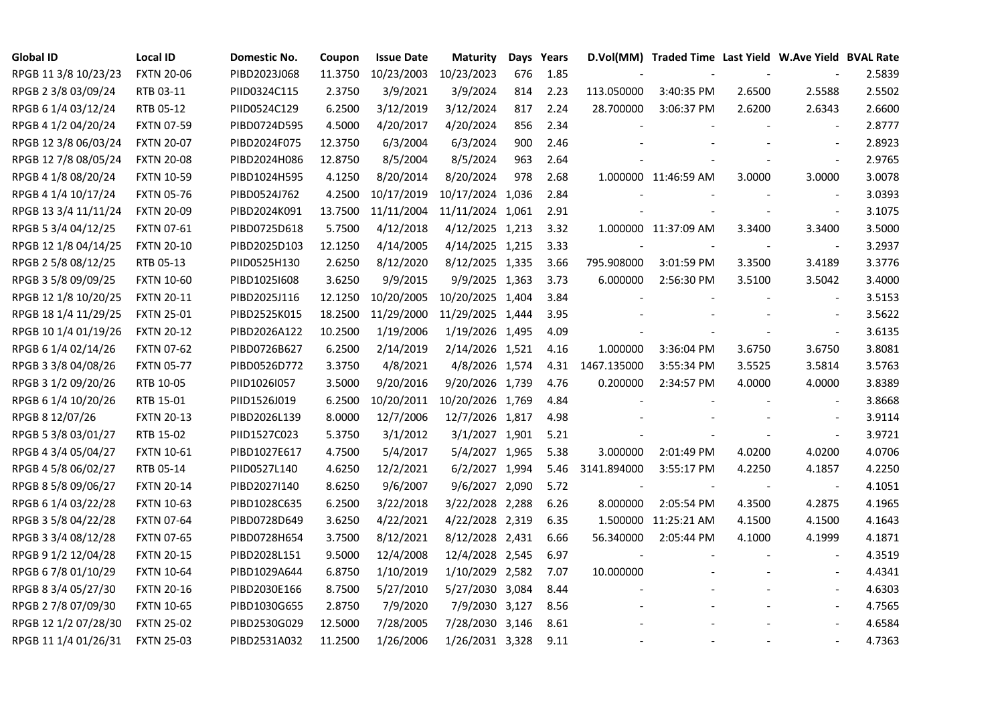| <b>Global ID</b>     | <b>Local ID</b>   | Domestic No. | Coupon  | <b>Issue Date</b> | <b>Maturity</b>  |     | Days Years |             | D.Vol(MM) Traded Time Last Yield W.Ave Yield BVAL Rate |        |                          |        |
|----------------------|-------------------|--------------|---------|-------------------|------------------|-----|------------|-------------|--------------------------------------------------------|--------|--------------------------|--------|
| RPGB 11 3/8 10/23/23 | <b>FXTN 20-06</b> | PIBD2023J068 | 11.3750 | 10/23/2003        | 10/23/2023       | 676 | 1.85       |             |                                                        |        |                          | 2.5839 |
| RPGB 2 3/8 03/09/24  | RTB 03-11         | PIID0324C115 | 2.3750  | 3/9/2021          | 3/9/2024         | 814 | 2.23       | 113.050000  | 3:40:35 PM                                             | 2.6500 | 2.5588                   | 2.5502 |
| RPGB 6 1/4 03/12/24  | RTB 05-12         | PIID0524C129 | 6.2500  | 3/12/2019         | 3/12/2024        | 817 | 2.24       | 28.700000   | 3:06:37 PM                                             | 2.6200 | 2.6343                   | 2.6600 |
| RPGB 4 1/2 04/20/24  | <b>FXTN 07-59</b> | PIBD0724D595 | 4.5000  | 4/20/2017         | 4/20/2024        | 856 | 2.34       |             |                                                        |        | $\overline{\phantom{a}}$ | 2.8777 |
| RPGB 12 3/8 06/03/24 | <b>FXTN 20-07</b> | PIBD2024F075 | 12.3750 | 6/3/2004          | 6/3/2024         | 900 | 2.46       |             |                                                        |        | $\overline{\phantom{a}}$ | 2.8923 |
| RPGB 12 7/8 08/05/24 | <b>FXTN 20-08</b> | PIBD2024H086 | 12.8750 | 8/5/2004          | 8/5/2024         | 963 | 2.64       |             |                                                        |        | $\blacksquare$           | 2.9765 |
| RPGB 4 1/8 08/20/24  | <b>FXTN 10-59</b> | PIBD1024H595 | 4.1250  | 8/20/2014         | 8/20/2024        | 978 | 2.68       |             | 1.000000 11:46:59 AM                                   | 3.0000 | 3.0000                   | 3.0078 |
| RPGB 4 1/4 10/17/24  | <b>FXTN 05-76</b> | PIBD0524J762 | 4.2500  | 10/17/2019        | 10/17/2024 1,036 |     | 2.84       |             |                                                        |        | $\sim$                   | 3.0393 |
| RPGB 13 3/4 11/11/24 | <b>FXTN 20-09</b> | PIBD2024K091 | 13.7500 | 11/11/2004        | 11/11/2024 1,061 |     | 2.91       |             |                                                        |        | $\overline{\phantom{a}}$ | 3.1075 |
| RPGB 5 3/4 04/12/25  | <b>FXTN 07-61</b> | PIBD0725D618 | 5.7500  | 4/12/2018         | 4/12/2025 1,213  |     | 3.32       |             | 1.000000 11:37:09 AM                                   | 3.3400 | 3.3400                   | 3.5000 |
| RPGB 12 1/8 04/14/25 | <b>FXTN 20-10</b> | PIBD2025D103 | 12.1250 | 4/14/2005         | 4/14/2025 1,215  |     | 3.33       |             |                                                        |        | $\blacksquare$           | 3.2937 |
| RPGB 2 5/8 08/12/25  | RTB 05-13         | PIID0525H130 | 2.6250  | 8/12/2020         | 8/12/2025 1,335  |     | 3.66       | 795.908000  | 3:01:59 PM                                             | 3.3500 | 3.4189                   | 3.3776 |
| RPGB 3 5/8 09/09/25  | <b>FXTN 10-60</b> | PIBD10251608 | 3.6250  | 9/9/2015          | 9/9/2025 1,363   |     | 3.73       | 6.000000    | 2:56:30 PM                                             | 3.5100 | 3.5042                   | 3.4000 |
| RPGB 12 1/8 10/20/25 | <b>FXTN 20-11</b> | PIBD2025J116 | 12.1250 | 10/20/2005        | 10/20/2025 1,404 |     | 3.84       |             |                                                        |        | $\blacksquare$           | 3.5153 |
| RPGB 18 1/4 11/29/25 | <b>FXTN 25-01</b> | PIBD2525K015 | 18.2500 | 11/29/2000        | 11/29/2025 1,444 |     | 3.95       |             |                                                        |        | $\sim$                   | 3.5622 |
| RPGB 10 1/4 01/19/26 | <b>FXTN 20-12</b> | PIBD2026A122 | 10.2500 | 1/19/2006         | 1/19/2026 1,495  |     | 4.09       |             |                                                        |        | $\sim$                   | 3.6135 |
| RPGB 6 1/4 02/14/26  | <b>FXTN 07-62</b> | PIBD0726B627 | 6.2500  | 2/14/2019         | 2/14/2026 1,521  |     | 4.16       | 1.000000    | 3:36:04 PM                                             | 3.6750 | 3.6750                   | 3.8081 |
| RPGB 3 3/8 04/08/26  | <b>FXTN 05-77</b> | PIBD0526D772 | 3.3750  | 4/8/2021          | 4/8/2026 1,574   |     | 4.31       | 1467.135000 | 3:55:34 PM                                             | 3.5525 | 3.5814                   | 3.5763 |
| RPGB 3 1/2 09/20/26  | RTB 10-05         | PIID1026I057 | 3.5000  | 9/20/2016         | 9/20/2026 1,739  |     | 4.76       | 0.200000    | 2:34:57 PM                                             | 4.0000 | 4.0000                   | 3.8389 |
| RPGB 6 1/4 10/20/26  | RTB 15-01         | PIID1526J019 | 6.2500  | 10/20/2011        | 10/20/2026 1,769 |     | 4.84       |             |                                                        |        | $\blacksquare$           | 3.8668 |
| RPGB 8 12/07/26      | <b>FXTN 20-13</b> | PIBD2026L139 | 8.0000  | 12/7/2006         | 12/7/2026 1,817  |     | 4.98       |             |                                                        |        | $\overline{\phantom{a}}$ | 3.9114 |
| RPGB 5 3/8 03/01/27  | RTB 15-02         | PIID1527C023 | 5.3750  | 3/1/2012          | 3/1/2027 1,901   |     | 5.21       |             |                                                        |        | $\blacksquare$           | 3.9721 |
| RPGB 4 3/4 05/04/27  | <b>FXTN 10-61</b> | PIBD1027E617 | 4.7500  | 5/4/2017          | 5/4/2027 1,965   |     | 5.38       | 3.000000    | 2:01:49 PM                                             | 4.0200 | 4.0200                   | 4.0706 |
| RPGB 4 5/8 06/02/27  | RTB 05-14         | PIID0527L140 | 4.6250  | 12/2/2021         | 6/2/2027 1,994   |     | 5.46       | 3141.894000 | 3:55:17 PM                                             | 4.2250 | 4.1857                   | 4.2250 |
| RPGB 8 5/8 09/06/27  | <b>FXTN 20-14</b> | PIBD2027I140 | 8.6250  | 9/6/2007          | 9/6/2027 2,090   |     | 5.72       |             |                                                        |        | $\overline{\phantom{a}}$ | 4.1051 |
| RPGB 6 1/4 03/22/28  | <b>FXTN 10-63</b> | PIBD1028C635 | 6.2500  | 3/22/2018         | 3/22/2028 2,288  |     | 6.26       | 8.000000    | 2:05:54 PM                                             | 4.3500 | 4.2875                   | 4.1965 |
| RPGB 3 5/8 04/22/28  | <b>FXTN 07-64</b> | PIBD0728D649 | 3.6250  | 4/22/2021         | 4/22/2028 2,319  |     | 6.35       |             | 1.500000 11:25:21 AM                                   | 4.1500 | 4.1500                   | 4.1643 |
| RPGB 3 3/4 08/12/28  | <b>FXTN 07-65</b> | PIBD0728H654 | 3.7500  | 8/12/2021         | 8/12/2028 2,431  |     | 6.66       | 56.340000   | 2:05:44 PM                                             | 4.1000 | 4.1999                   | 4.1871 |
| RPGB 9 1/2 12/04/28  | <b>FXTN 20-15</b> | PIBD2028L151 | 9.5000  | 12/4/2008         | 12/4/2028 2,545  |     | 6.97       |             |                                                        |        |                          | 4.3519 |
| RPGB 67/8 01/10/29   | <b>FXTN 10-64</b> | PIBD1029A644 | 6.8750  | 1/10/2019         | 1/10/2029 2,582  |     | 7.07       | 10.000000   |                                                        |        |                          | 4.4341 |
| RPGB 8 3/4 05/27/30  | <b>FXTN 20-16</b> | PIBD2030E166 | 8.7500  | 5/27/2010         | 5/27/2030 3,084  |     | 8.44       |             |                                                        |        | $\blacksquare$           | 4.6303 |
| RPGB 2 7/8 07/09/30  | <b>FXTN 10-65</b> | PIBD1030G655 | 2.8750  | 7/9/2020          | 7/9/2030 3,127   |     | 8.56       |             |                                                        |        | $\overline{\phantom{a}}$ | 4.7565 |
| RPGB 12 1/2 07/28/30 | <b>FXTN 25-02</b> | PIBD2530G029 | 12.5000 | 7/28/2005         | 7/28/2030 3,146  |     | 8.61       |             |                                                        |        |                          | 4.6584 |
| RPGB 11 1/4 01/26/31 | <b>FXTN 25-03</b> | PIBD2531A032 | 11.2500 | 1/26/2006         | 1/26/2031 3,328  |     | 9.11       |             |                                                        |        | $\blacksquare$           | 4.7363 |